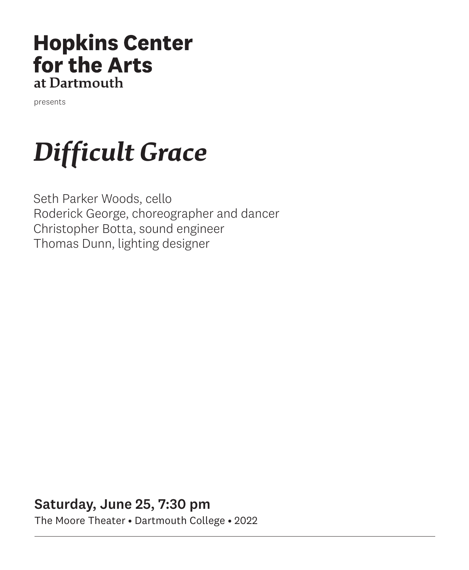### **Hopkins Center** for the Arts at Dartmouth

presents

# *Difficult Grace*

Seth Parker Woods, cello Roderick George, choreographer and dancer Christopher Botta, sound engineer Thomas Dunn, lighting designer

Saturday, June 25, 7:30 pm The Moore Theater • Dartmouth College • 2022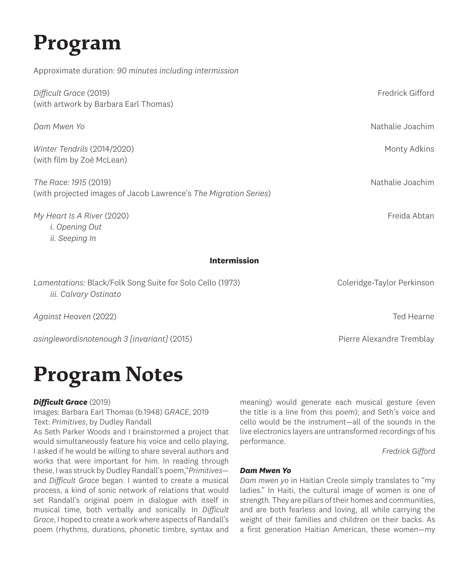# **Program**

Approximate duration: *90 minutes including intermission*

| Difficult Grace (2019)<br>(with artwork by Barbara Earl Thomas)                           | Fredrick Gifford           |
|-------------------------------------------------------------------------------------------|----------------------------|
| Dam Mwen Yo                                                                               | Nathalie Joachim           |
| Winter Tendrils (2014/2020)<br>(with film by Zoë McLean)                                  | Monty Adkins               |
| The Race: 1915 (2019)<br>(with projected images of Jacob Lawrence's The Migration Series) | Nathalie Joachim           |
| My Heart Is A River (2020)<br><i>i. Opening Out</i><br>ii. Seeping In                     | Freida Abtan               |
| <b>Intermission</b>                                                                       |                            |
| Lamentations: Black/Folk Song Suite for Solo Cello (1973)<br>iii. Calvary Ostinato        | Coleridge-Taylor Perkinson |

*Against Heaven* (2022) Ted Hearne

*asinglewordisnotenough 3 [invariant]* (2015) Pierre Alexandre Tremblay

## **Program Notes**

### *Difficult Grace* (2019)

Images: Barbara Earl Thomas (b.1948) *GRACE*, 2019 Text: *Primitives*, by Dudley Randall

As Seth Parker Woods and I brainstormed a project that would simultaneously feature his voice and cello playing, I asked if he would be willing to share several authors and works that were important for him. In reading through these, I was struck by Dudley Randall's poem,"*Primitives* and *Difficult Grace* began. I wanted to create a musical process, a kind of sonic network of relations that would set Randall's original poem in dialogue with itself in musical time, both verbally and sonically. In *Difficult Grace*, I hoped to create a work where aspects of Randall's poem (rhythms, durations, phonetic timbre, syntax and meaning) would generate each musical gesture (even the title is a line from this poem); and Seth's voice and cello would be the instrument—all of the sounds in the live electronics layers are untransformed recordings of his performance.

*Fredrick Gifford*

### *Dam Mwen Yo*

*Dam mwen yo* in Haitian Creole simply translates to "my ladies." In Haiti, the cultural image of women is one of strength. They are pillars of their homes and communities, and are both fearless and loving, all while carrying the weight of their families and children on their backs. As a first generation Haitian American, these women—my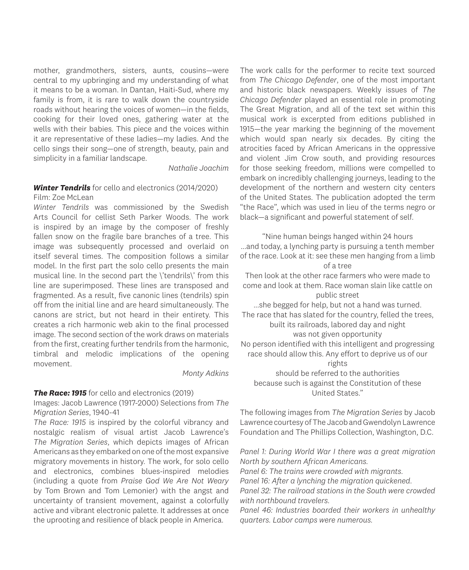mother, grandmothers, sisters, aunts, cousins—were central to my upbringing and my understanding of what it means to be a woman. In Dantan, Haiti-Sud, where my family is from, it is rare to walk down the countryside roads without hearing the voices of women—in the fields, cooking for their loved ones, gathering water at the wells with their babies. This piece and the voices within it are representative of these ladies—my ladies. And the cello sings their song—one of strength, beauty, pain and simplicity in a familiar landscape.

*Nathalie Joachim*

### *Winter Tendrils* for cello and electronics (2014/2020) Film: Zoe McLean

*Winter Tendrils* was commissioned by the Swedish Arts Council for cellist Seth Parker Woods. The work is inspired by an image by the composer of freshly fallen snow on the fragile bare branches of a tree. This image was subsequently processed and overlaid on itself several times. The composition follows a similar model. In the first part the solo cello presents the main musical line. In the second part the \'tendrils\' from this line are superimposed. These lines are transposed and fragmented. As a result, five canonic lines (tendrils) spin off from the initial line and are heard simultaneously. The canons are strict, but not heard in their entirety. This creates a rich harmonic web akin to the final processed image. The second section of the work draws on materials from the first, creating further tendrils from the harmonic, timbral and melodic implications of the opening movement.

*Monty Adkins*

### *The Race: 1915* for cello and electronics (2019)

Images: Jacob Lawrence (1917-2000) Selections from *The Migration Series*, 1940-41

*The Race: 1915* is inspired by the colorful vibrancy and nostalgic realism of visual artist Jacob Lawrence's *The Migration Series*, which depicts images of African Americans as they embarked on one of the most expansive migratory movements in history. The work, for solo cello and electronics, combines blues-inspired melodies (including a quote from *Praise God We Are Not Weary*  by Tom Brown and Tom Lemonier) with the angst and uncertainty of transient movement, against a colorfully active and vibrant electronic palette. It addresses at once the uprooting and resilience of black people in America.

The work calls for the performer to recite text sourced from *The Chicago Defender*, one of the most important and historic black newspapers. Weekly issues of *The Chicago Defender* played an essential role in promoting The Great Migration, and all of the text set within this musical work is excerpted from editions published in 1915—the year marking the beginning of the movement which would span nearly six decades. By citing the atrocities faced by African Americans in the oppressive and violent Jim Crow south, and providing resources for those seeking freedom, millions were compelled to embark on incredibly challenging journeys, leading to the development of the northern and western city centers of the United States. The publication adopted the term "the Race", which was used in lieu of the terms negro or black—a significant and powerful statement of self.

"Nine human beings hanged within 24 hours ...and today, a lynching party is pursuing a tenth member of the race. Look at it: see these men hanging from a limb of a tree Then look at the other race farmers who were made to come and look at them. Race woman slain like cattle on public street ...she begged for help, but not a hand was turned. The race that has slated for the country, felled the trees, built its railroads, labored day and night was not given opportunity No person identified with this intelligent and progressing race should allow this. Any effort to deprive us of our rights should be referred to the authorities because such is against the Constitution of these United States."

The following images from *The Migration Series* by Jacob Lawrence courtesy of The Jacob and Gwendolyn Lawrence Foundation and The Phillips Collection, Washington, D.C.

*Panel 1: During World War I there was a great migration North by southern African Americans.*

*Panel 6: The trains were crowded with migrants.*

*Panel 16: After a lynching the migration quickened.*

*Panel 32: The railroad stations in the South were crowded with northbound travelers.*

*Panel 46: Industries boarded their workers in unhealthy quarters. Labor camps were numerous.*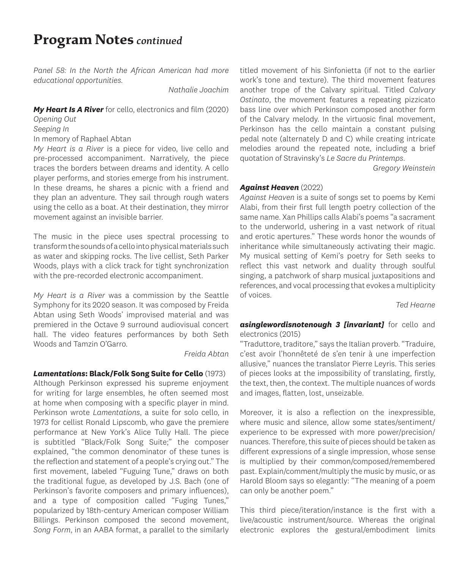### **Program Notes** *continued*

*Panel 58: In the North the African American had more educational opportunities.*

*Nathalie Joachim*

*My Heart Is A River* for cello, electronics and film (2020)

*Opening Out Seeping In* In memory of Raphael Abtan

*My Heart is a River* is a piece for video, live cello and pre-processed accompaniment. Narratively, the piece traces the borders between dreams and identity. A cello player performs, and stories emerge from his instrument. In these dreams, he shares a picnic with a friend and they plan an adventure. They sail through rough waters using the cello as a boat. At their destination, they mirror movement against an invisible barrier.

The music in the piece uses spectral processing to transform the sounds of a cello into physical materials such as water and skipping rocks. The live cellist, Seth Parker Woods, plays with a click track for tight synchronization with the pre-recorded electronic accompaniment.

*My Heart is a River* was a commission by the Seattle Symphony for its 2020 season. It was composed by Freida Abtan using Seth Woods' improvised material and was premiered in the Octave 9 surround audiovisual concert hall. The video features performances by both Seth Woods and Tamzin O'Garro.

#### *Freida Abtan*

*Lamentations***: Black/Folk Song Suite for Cello** (1973) Although Perkinson expressed his supreme enjoyment for writing for large ensembles, he often seemed most at home when composing with a specific player in mind. Perkinson wrote *Lamentations*, a suite for solo cello, in 1973 for cellist Ronald Lipscomb, who gave the premiere performance at New York's Alice Tully Hall. The piece is subtitled "Black/Folk Song Suite;" the composer explained, "the common denominator of these tunes is the reflection and statement of a people's crying out." The first movement, labeled "Fuguing Tune," draws on both the traditional fugue, as developed by J.S. Bach (one of Perkinson's favorite composers and primary influences), and a type of composition called "Fuging Tunes," popularized by 18th-century American composer William Billings. Perkinson composed the second movement, *Song Form*, in an AABA format, a parallel to the similarly titled movement of his Sinfonietta (if not to the earlier work's tone and texture). The third movement features another trope of the Calvary spiritual. Titled *Calvary Ostinato*, the movement features a repeating pizzicato bass line over which Perkinson composed another form of the Calvary melody. In the virtuosic final movement, Perkinson has the cello maintain a constant pulsing pedal note (alternately D and C) while creating intricate melodies around the repeated note, including a brief quotation of Stravinsky's *Le Sacre du Printemps*.

*Gregory Weinstein*

#### *Against Heaven* (2022)

*Against Heaven* is a suite of songs set to poems by Kemi Alabi, from their first full length poetry collection of the same name. Xan Phillips calls Alabi's poems "a sacrament to the underworld, ushering in a vast network of ritual and erotic apertures." These words honor the wounds of inheritance while simultaneously activating their magic. My musical setting of Kemi's poetry for Seth seeks to reflect this vast network and duality through soulful singing, a patchwork of sharp musical juxtapositions and references, and vocal processing that evokes a multiplicity of voices.

*Ted Hearne*

### *asinglewordisnotenough 3 [invariant]* for cello and electronics (2015)

"Traduttore, traditore," says the Italian proverb. "Traduire, c'est avoir l'honnêteté de s'en tenir à une imperfection allusive," nuances the translator Pierre Leyris. This series of pieces looks at the impossibility of translating, firstly, the text, then, the context. The multiple nuances of words and images, flatten, lost, unseizable.

Moreover, it is also a reflection on the inexpressible, where music and silence, allow some states/sentiment/ experience to be expressed with more power/precision/ nuances. Therefore, this suite of pieces should be taken as different expressions of a single impression, whose sense is multiplied by their common/composed/remembered past. Explain/comment/multiply the music by music, or as Harold Bloom says so elegantly: "The meaning of a poem can only be another poem."

This third piece/iteration/instance is the first with a live/acoustic instrument/source. Whereas the original electronic explores the gestural/embodiment limits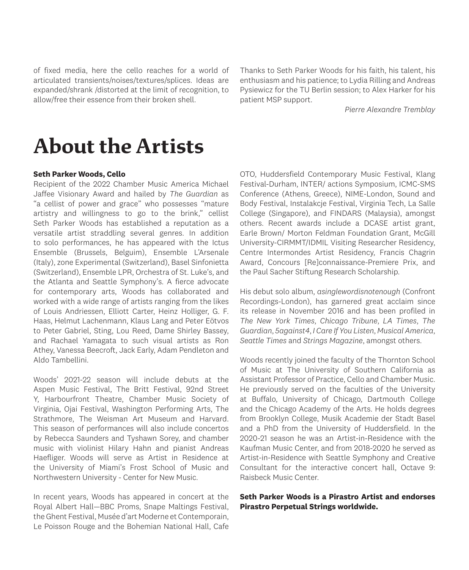of fixed media, here the cello reaches for a world of articulated transients/noises/textures/splices. Ideas are expanded/shrank /distorted at the limit of recognition, to allow/free their essence from their broken shell.

Thanks to Seth Parker Woods for his faith, his talent, his enthusiasm and his patience; to Lydia Rilling and Andreas Pysiewicz for the TU Berlin session; to Alex Harker for his patient MSP support.

*Pierre Alexandre Tremblay*

### **About the Artists**

### **Seth Parker Woods, Cello**

Recipient of the 2022 Chamber Music America Michael Jaffee Visionary Award and hailed by *The Guardian* as "a cellist of power and grace" who possesses "mature artistry and willingness to go to the brink," cellist Seth Parker Woods has established a reputation as a versatile artist straddling several genres. In addition to solo performances, he has appeared with the Ictus Ensemble (Brussels, Belguim), Ensemble L'Arsenale (Italy), zone Experimental (Switzerland), Basel Sinfonietta (Switzerland), Ensemble LPR, Orchestra of St. Luke's, and the Atlanta and Seattle Symphony's. A fierce advocate for contemporary arts, Woods has collaborated and worked with a wide range of artists ranging from the likes of Louis Andriessen, Elliott Carter, Heinz Holliger, G. F. Haas, Helmut Lachenmann, Klaus Lang and Peter Eötvos to Peter Gabriel, Sting, Lou Reed, Dame Shirley Bassey, and Rachael Yamagata to such visual artists as Ron Athey, Vanessa Beecroft, Jack Early, Adam Pendleton and Aldo Tambellini.

Woods' 2021-22 season will include debuts at the Aspen Music Festival, The Britt Festival, 92nd Street Y, Harbourfront Theatre, Chamber Music Society of Virginia, Ojai Festival, Washington Performing Arts, The Strathmore, The Weisman Art Museum and Harvard. This season of performances will also include concertos by Rebecca Saunders and Tyshawn Sorey, and chamber music with violinist Hilary Hahn and pianist Andreas Haefliger. Woods will serve as Artist in Residence at the University of Miami's Frost School of Music and Northwestern University - Center for New Music.

In recent years, Woods has appeared in concert at the Royal Albert Hall—BBC Proms, Snape Maltings Festival, the Ghent Festival, Musée d'art Moderne et Contemporain, Le Poisson Rouge and the Bohemian National Hall, Cafe OTO, Huddersfield Contemporary Music Festival, Klang Festival-Durham, INTER/ actions Symposium, ICMC-SMS Conference (Athens, Greece), NIME-London, Sound and Body Festival, Instalakcje Festival, Virginia Tech, La Salle College (Singapore), and FINDARS (Malaysia), amongst others. Recent awards include a DCASE artist grant, Earle Brown/ Morton Feldman Foundation Grant, McGill University-CIRMMT/IDMIL Visiting Researcher Residency, Centre Intermondes Artist Residency, Francis Chagrin Award, Concours [Re]connaissance-Premiere Prix, and the Paul Sacher Stiftung Research Scholarship.

His debut solo album, *asinglewordisnotenough* (Confront Recordings-London), has garnered great acclaim since its release in November 2016 and has been profiled in *The New York Times*, *Chicago Tribune*, *LA Times*, *The Guardian*, *5against4*, *I Care If You Listen*, *Musical America*, *Seattle Times* and *Strings Magazine*, amongst others.

Woods recently joined the faculty of the Thornton School of Music at The University of Southern California as Assistant Professor of Practice, Cello and Chamber Music. He previously served on the faculties of the University at Buffalo, University of Chicago, Dartmouth College and the Chicago Academy of the Arts. He holds degrees from Brooklyn College, Musik Academie der Stadt Basel and a PhD from the University of Huddersfield. In the 2020-21 season he was an Artist-in-Residence with the Kaufman Music Center, and from 2018-2020 he served as Artist-in-Residence with Seattle Symphony and Creative Consultant for the interactive concert hall, Octave 9: Raisbeck Music Center.

### **Seth Parker Woods is a Pirastro Artist and endorses Pirastro Perpetual Strings worldwide.**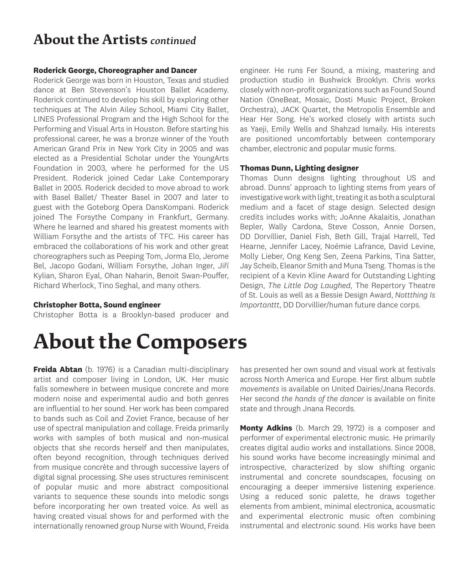### **About the Artists** *continued*

### **Roderick George, Choreographer and Dancer**

Roderick George was born in Houston, Texas and studied dance at Ben Stevenson's Houston Ballet Academy. Roderick continued to develop his skill by exploring other techniques at The Alvin Ailey School, Miami City Ballet, LINES Professional Program and the High School for the Performing and Visual Arts in Houston. Before starting his professional career, he was a bronze winner of the Youth American Grand Prix in New York City in 2005 and was elected as a Presidential Scholar under the YoungArts Foundation in 2003, where he performed for the US President. Roderick joined Cedar Lake Contemporary Ballet in 2005. Roderick decided to move abroad to work with Basel Ballet/ Theater Basel in 2007 and later to guest with the Goteborg Opera DansKompani. Roderick joined The Forsythe Company in Frankfurt, Germany. Where he learned and shared his greatest moments with William Forsythe and the artists of TFC. His career has embraced the collaborations of his work and other great choreographers such as Peeping Tom, Jorma Elo, Jerome Bel, Jacopo Godani, William Forsythe, Johan Inger, Jiří Kylian, Sharon Eyal, Ohan Naharin, Benoit Swan-Pouffer, Richard Wherlock, Tino Seghal, and many others.

### **Christopher Botta, Sound engineer**

Christopher Botta is a Brooklyn-based producer and

engineer. He runs Fer Sound, a mixing, mastering and production studio in Bushwick Brooklyn. Chris works closely with non-profit organizations such as Found Sound Nation (OneBeat, Mosaic, Dosti Music Project, Broken Orchestra), JACK Quartet, the Metropolis Ensemble and Hear Her Song. He's worked closely with artists such as Yaeji, Emily Wells and Shahzad Ismaily. His interests are positioned uncomfortably between contemporary chamber, electronic and popular music forms.

### **Thomas Dunn, Lighting designer**

Thomas Dunn designs lighting throughout US and abroad. Dunns' approach to lighting stems from years of investigative work with light, treating it as both a sculptural medium and a facet of stage design. Selected design credits includes works with; JoAnne Akalaitis, Jonathan Bepler, Wally Cardona, Steve Cosson, Annie Dorsen, DD Dorvillier, Daniel Fish, Beth Gill, Trajal Harrell, Ted Hearne, Jennifer Lacey, Noémie Lafrance, David Levine, Molly Lieber, Ong Keng Sen, Zeena Parkins, Tina Satter, Jay Scheib, Eleanor Smith and Muna Tseng. Thomas is the recipient of a Kevin Kline Award for Outstanding Lighting Design, *The Little Dog Laughed*, The Repertory Theatre of St. Louis as well as a Bessie Design Award, *Nottthing Is Importanttt*, DD Dorvillier/human future dance corps.

# **About the Composers**

**Freida Abtan** (b. 1976) is a Canadian multi-disciplinary artist and composer living in London, UK. Her music falls somewhere in between musique concrete and more modern noise and experimental audio and both genres are influential to her sound. Her work has been compared to bands such as Coil and Zoviet France, because of her use of spectral manipulation and collage. Freida primarily works with samples of both musical and non-musical objects that she records herself and then manipulates, often beyond recognition, through techniques derived from musique concrète and through successive layers of digital signal processing. She uses structures reminiscent of popular music and more abstract compositional variants to sequence these sounds into melodic songs before incorporating her own treated voice. As well as having created visual shows for and performed with the internationally renowned group Nurse with Wound, Freida has presented her own sound and visual work at festivals across North America and Europe. Her first album *subtle movements* is available on United Dairies/Jnana Records. Her second *the hands of the dancer* is available on finite state and through Jnana Records.

**Monty Adkins** (b. March 29, 1972) is a composer and performer of experimental electronic music. He primarily creates digital audio works and installations. Since 2008, his sound works have become increasingly minimal and introspective, characterized by slow shifting organic instrumental and concrete soundscapes, focusing on encouraging a deeper immersive listening experience. Using a reduced sonic palette, he draws together elements from ambient, minimal electronica, acousmatic and experimental electronic music often combining instrumental and electronic sound. His works have been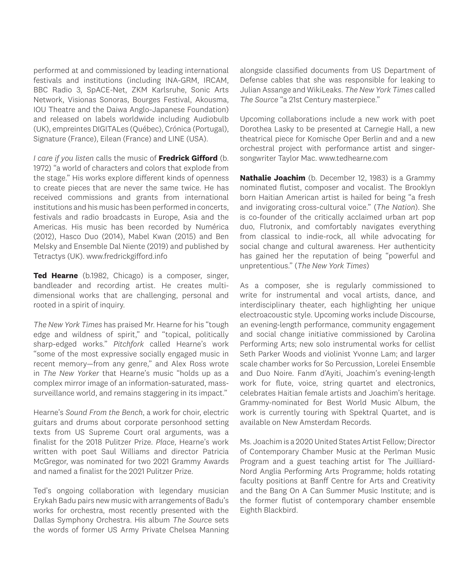performed at and commissioned by leading international festivals and institutions (including INA-GRM, IRCAM, BBC Radio 3, SpACE-Net, ZKM Karlsruhe, Sonic Arts Network, Visionas Sonoras, Bourges Festival, Akousma, IOU Theatre and the Daiwa Anglo-Japanese Foundation) and released on labels worldwide including Audiobulb (UK), empreintes DIGITALes (Québec), Crónica (Portugal), Signature (France), Eilean (France) and LINE (USA).

*I care if you listen* calls the music of **Fredrick Gifford** (b. 1972) "a world of characters and colors that explode from the stage." His works explore different kinds of openness to create pieces that are never the same twice. He has received commissions and grants from international institutions and his music has been performed in concerts, festivals and radio broadcasts in Europe, Asia and the Americas. His music has been recorded by Numérica (2012), Hasco Duo (2014), Mabel Kwan (2015) and Ben Melsky and Ensemble Dal Niente (2019) and published by Tetractys (UK). www.fredrickgifford.info

**Ted Hearne** (b.1982, Chicago) is a composer, singer, bandleader and recording artist. He creates multidimensional works that are challenging, personal and rooted in a spirit of inquiry.

*The New York Times* has praised Mr. Hearne for his "tough edge and wildness of spirit," and "topical, politically sharp-edged works." *Pitchfork* called Hearne's work "some of the most expressive socially engaged music in recent memory—from any genre," and Alex Ross wrote in *The New Yorker* that Hearne's music "holds up as a complex mirror image of an information-saturated, masssurveillance world, and remains staggering in its impact."

Hearne's *Sound From the Bench*, a work for choir, electric guitars and drums about corporate personhood setting texts from US Supreme Court oral arguments, was a finalist for the 2018 Pulitzer Prize. *Place*, Hearne's work written with poet Saul Williams and director Patricia McGregor, was nominated for two 2021 Grammy Awards and named a finalist for the 2021 Pulitzer Prize.

Ted's ongoing collaboration with legendary musician Erykah Badu pairs new music with arrangements of Badu's works for orchestra, most recently presented with the Dallas Symphony Orchestra. His album *The Sourc*e sets the words of former US Army Private Chelsea Manning alongside classified documents from US Department of Defense cables that she was responsible for leaking to Julian Assange and WikiLeaks. *The New York Times* called *The Source* "a 21st Century masterpiece."

Upcoming collaborations include a new work with poet Dorothea Lasky to be presented at Carnegie Hall, a new theatrical piece for Komische Oper Berlin and and a new orchestral project with performance artist and singersongwriter Taylor Mac. www.tedhearne.com

**Nathalie Joachim** (b. December 12, 1983) is a Grammy nominated flutist, composer and vocalist. The Brooklyn born Haitian American artist is hailed for being "a fresh and invigorating cross-cultural voice." (*The Nation*). She is co-founder of the critically acclaimed urban art pop duo, Flutronix, and comfortably navigates everything from classical to indie-rock, all while advocating for social change and cultural awareness. Her authenticity has gained her the reputation of being "powerful and unpretentious." (*The New York Times*)

As a composer, she is regularly commissioned to write for instrumental and vocal artists, dance, and interdisciplinary theater, each highlighting her unique electroacoustic style. Upcoming works include Discourse, an evening-length performance, community engagement and social change initiative commissioned by Carolina Performing Arts; new solo instrumental works for cellist Seth Parker Woods and violinist Yvonne Lam; and larger scale chamber works for So Percussion, Lorelei Ensemble and Duo Noire. Fanm d'Ayiti, Joachim's evening-length work for flute, voice, string quartet and electronics, celebrates Haitian female artists and Joachim's heritage. Grammy-nominated for Best World Music Album, the work is currently touring with Spektral Quartet, and is available on New Amsterdam Records.

Ms. Joachim is a 2020 United States Artist Fellow; Director of Contemporary Chamber Music at the Perlman Music Program and a guest teaching artist for The Juilliard-Nord Anglia Performing Arts Programme; holds rotating faculty positions at Banff Centre for Arts and Creativity and the Bang On A Can Summer Music Institute; and is the former flutist of contemporary chamber ensemble Eighth Blackbird.